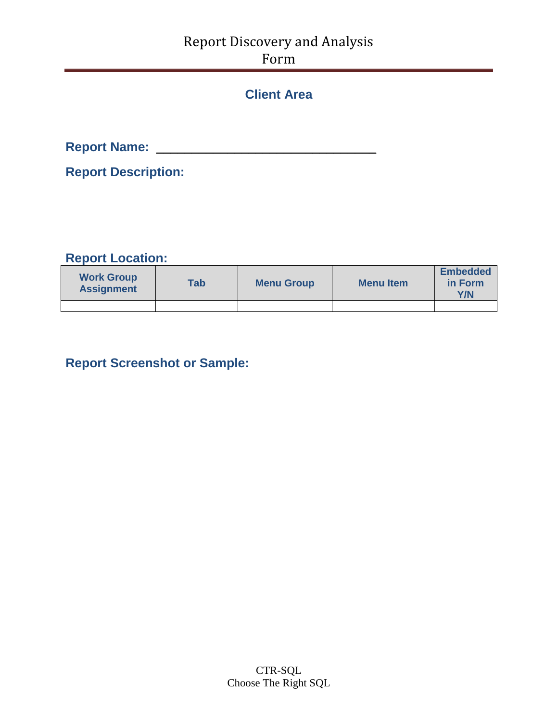### Report Discovery and Analysis Form

### **Client Area**

**Report Name:** \_\_\_\_\_\_\_\_\_\_\_\_\_\_\_\_\_\_\_\_\_\_\_\_\_\_\_\_\_\_\_

**Report Description:**

#### **Report Location:**

| <b>Work Group</b><br><b>Assignment</b> | <b>Tab</b> | <b>Menu Group</b> | <b>Menu</b> Item | <b>Embedded</b><br>in Form<br>Y/N |
|----------------------------------------|------------|-------------------|------------------|-----------------------------------|
|                                        |            |                   |                  |                                   |

### **Report Screenshot or Sample:**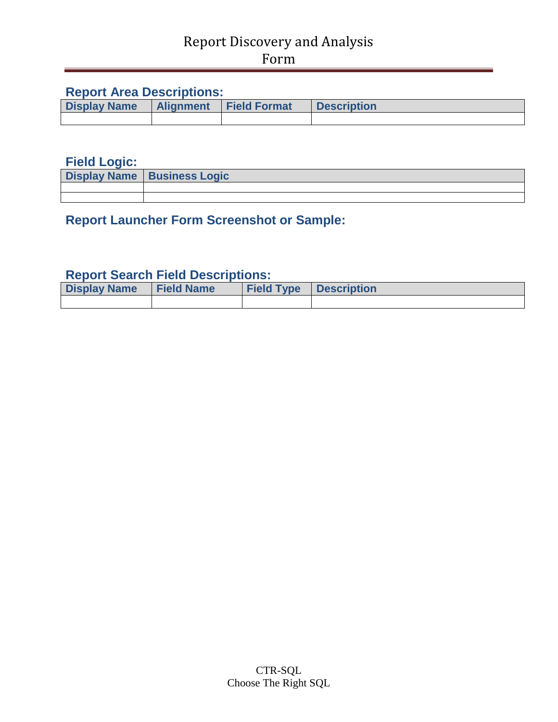### Report Discovery and Analysis Form

#### **Report Area Descriptions:**

| <b>Display Name</b> |  | <b>Alignment Field Format</b> | <b>Description</b> |  |  |  |
|---------------------|--|-------------------------------|--------------------|--|--|--|
|                     |  |                               |                    |  |  |  |

#### **Field Logic:**

| <b>Display Name   Business Logic</b> |
|--------------------------------------|
|                                      |
|                                      |

### **Report Launcher Form Screenshot or Sample:**

#### **Report Search Field Descriptions:**

| <b>Display Name</b> | <b>Field Name</b> | <b>Field Type Description</b> |  |
|---------------------|-------------------|-------------------------------|--|
|                     |                   |                               |  |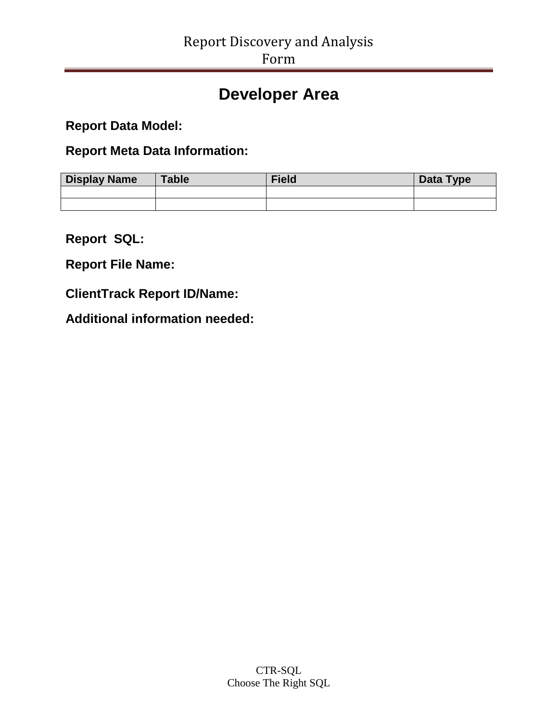## **Developer Area**

**Report Data Model:** 

**Report Meta Data Information:** 

| <b>Display Name</b> | <b>Table</b> | <b>Field</b> | Data Type |
|---------------------|--------------|--------------|-----------|
|                     |              |              |           |
|                     |              |              |           |

**Report SQL:** 

**Report File Name:** 

**ClientTrack Report ID/Name:** 

**Additional information needed:**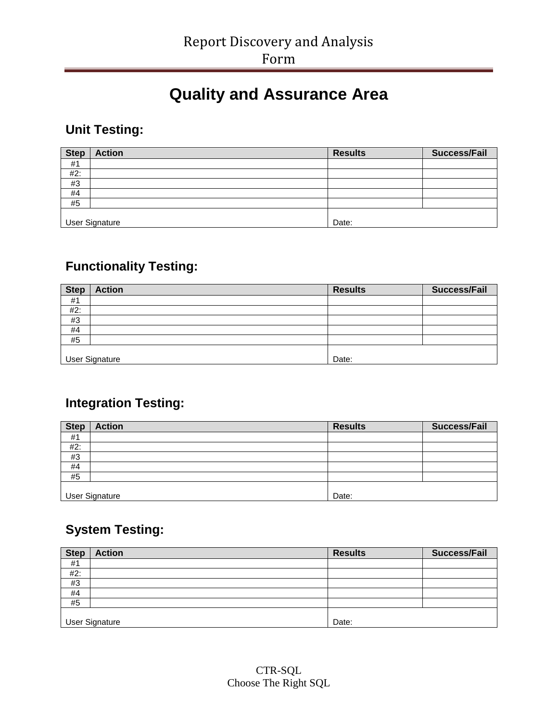# **Quality and Assurance Area**

### **Unit Testing:**

| <b>Step</b> | <b>Action</b>         | <b>Results</b> | <b>Success/Fail</b> |
|-------------|-----------------------|----------------|---------------------|
| #1          |                       |                |                     |
| #2:         |                       |                |                     |
| #3          |                       |                |                     |
| #4          |                       |                |                     |
| #5          |                       |                |                     |
|             |                       |                |                     |
|             | <b>User Signature</b> | Date:          |                     |

### **Functionality Testing:**

| <b>Step</b> | <b>Action</b>  | <b>Results</b> | <b>Success/Fail</b> |
|-------------|----------------|----------------|---------------------|
| #1          |                |                |                     |
| #2:         |                |                |                     |
| #3          |                |                |                     |
| #4          |                |                |                     |
| #5          |                |                |                     |
|             |                |                |                     |
|             | User Signature | Date:          |                     |

### **Integration Testing:**

| <b>Step</b> | <b>Action</b>         | <b>Results</b> | <b>Success/Fail</b> |
|-------------|-----------------------|----------------|---------------------|
| #1          |                       |                |                     |
| #2:         |                       |                |                     |
| #3          |                       |                |                     |
| #4          |                       |                |                     |
| #5          |                       |                |                     |
|             |                       |                |                     |
|             | <b>User Signature</b> | Date:          |                     |

## **System Testing:**

| <b>Step</b> | <b>Action</b>         | <b>Results</b> | <b>Success/Fail</b> |
|-------------|-----------------------|----------------|---------------------|
| #1          |                       |                |                     |
| #2:         |                       |                |                     |
| #3          |                       |                |                     |
| #4          |                       |                |                     |
| #5          |                       |                |                     |
|             |                       |                |                     |
|             | <b>User Signature</b> | Date:          |                     |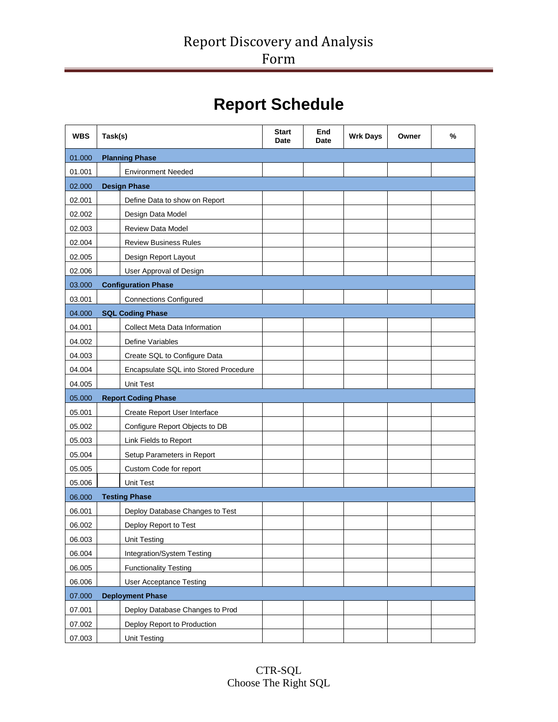# **Report Schedule**

| <b>WBS</b> | Task(s)                               | <b>Start</b><br><b>Date</b> | End<br>Date | <b>Wrk Days</b> | Owner | % |
|------------|---------------------------------------|-----------------------------|-------------|-----------------|-------|---|
| 01.000     | <b>Planning Phase</b>                 |                             |             |                 |       |   |
| 01.001     | <b>Environment Needed</b>             |                             |             |                 |       |   |
| 02.000     | <b>Design Phase</b>                   |                             |             |                 |       |   |
| 02.001     | Define Data to show on Report         |                             |             |                 |       |   |
| 02.002     | Design Data Model                     |                             |             |                 |       |   |
| 02.003     | <b>Review Data Model</b>              |                             |             |                 |       |   |
| 02.004     | <b>Review Business Rules</b>          |                             |             |                 |       |   |
| 02.005     | Design Report Layout                  |                             |             |                 |       |   |
| 02.006     | User Approval of Design               |                             |             |                 |       |   |
| 03.000     | <b>Configuration Phase</b>            |                             |             |                 |       |   |
| 03.001     | <b>Connections Configured</b>         |                             |             |                 |       |   |
| 04.000     | <b>SQL Coding Phase</b>               |                             |             |                 |       |   |
| 04.001     | <b>Collect Meta Data Information</b>  |                             |             |                 |       |   |
| 04.002     | Define Variables                      |                             |             |                 |       |   |
| 04.003     | Create SQL to Configure Data          |                             |             |                 |       |   |
| 04.004     | Encapsulate SQL into Stored Procedure |                             |             |                 |       |   |
| 04.005     | <b>Unit Test</b>                      |                             |             |                 |       |   |
| 05.000     | <b>Report Coding Phase</b>            |                             |             |                 |       |   |
| 05.001     | Create Report User Interface          |                             |             |                 |       |   |
| 05.002     | Configure Report Objects to DB        |                             |             |                 |       |   |
| 05.003     | Link Fields to Report                 |                             |             |                 |       |   |
| 05.004     | Setup Parameters in Report            |                             |             |                 |       |   |
| 05.005     | Custom Code for report                |                             |             |                 |       |   |
| 05.006     | <b>Unit Test</b>                      |                             |             |                 |       |   |
| 06.000     | <b>Testing Phase</b>                  |                             |             |                 |       |   |
| 06.001     | Deploy Database Changes to Test       |                             |             |                 |       |   |
| 06.002     | Deploy Report to Test                 |                             |             |                 |       |   |
| 06.003     | <b>Unit Testing</b>                   |                             |             |                 |       |   |
| 06.004     | Integration/System Testing            |                             |             |                 |       |   |
| 06.005     | <b>Functionality Testing</b>          |                             |             |                 |       |   |
| 06.006     | <b>User Acceptance Testing</b>        |                             |             |                 |       |   |
| 07.000     | <b>Deployment Phase</b>               |                             |             |                 |       |   |
| 07.001     | Deploy Database Changes to Prod       |                             |             |                 |       |   |
| 07.002     | Deploy Report to Production           |                             |             |                 |       |   |
| 07.003     | <b>Unit Testing</b>                   |                             |             |                 |       |   |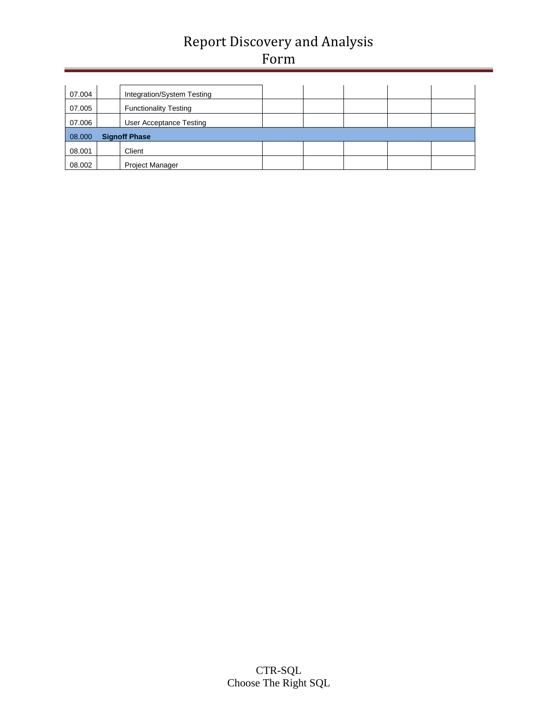## Report Discovery and Analysis Form

| 07.004 | Integration/System Testing   |  |  |  |
|--------|------------------------------|--|--|--|
| 07.005 | <b>Functionality Testing</b> |  |  |  |
| 07.006 | User Acceptance Testing      |  |  |  |
| 08.000 | <b>Signoff Phase</b>         |  |  |  |
| 08.001 | Client                       |  |  |  |
| 08.002 | <b>Project Manager</b>       |  |  |  |